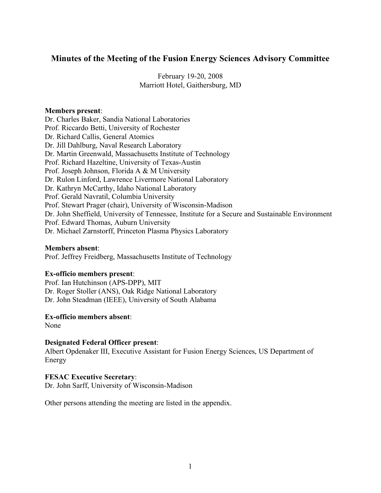# **Minutes of the Meeting of the Fusion Energy Sciences Advisory Committee**

February 19-20, 2008 Marriott Hotel, Gaithersburg, MD

### **Members present**:

Dr. Charles Baker, Sandia National Laboratories Prof. Riccardo Betti, University of Rochester Dr. Richard Callis, General Atomics Dr. Jill Dahlburg, Naval Research Laboratory Dr. Martin Greenwald, Massachusetts Institute of Technology Prof. Richard Hazeltine, University of Texas-Austin Prof. Joseph Johnson, Florida A & M University Dr. Rulon Linford, Lawrence Livermore National Laboratory Dr. Kathryn McCarthy, Idaho National Laboratory Prof. Gerald Navratil, Columbia University Prof. Stewart Prager (chair), University of Wisconsin-Madison Dr. John Sheffield, University of Tennessee, Institute for a Secure and Sustainable Environment Prof. Edward Thomas, Auburn University Dr. Michael Zarnstorff, Princeton Plasma Physics Laboratory

### **Members absent**:

Prof. Jeffrey Freidberg, Massachusetts Institute of Technology

### **Ex-officio members present**:

Prof. Ian Hutchinson (APS-DPP), MIT Dr. Roger Stoller (ANS), Oak Ridge National Laboratory Dr. John Steadman (IEEE), University of South Alabama

### **Ex-officio members absent**:

None

### **Designated Federal Officer present**:

Albert Opdenaker III, Executive Assistant for Fusion Energy Sciences, US Department of Energy

### **FESAC Executive Secretary**:

Dr. John Sarff, University of Wisconsin-Madison

Other persons attending the meeting are listed in the appendix.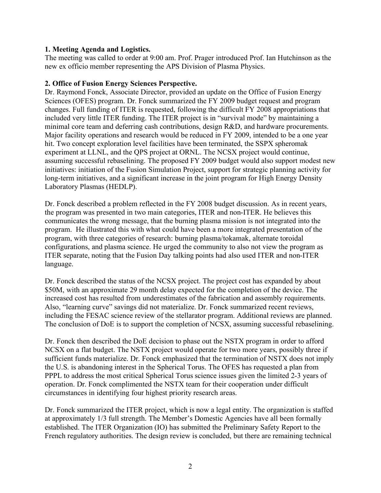### **1. Meeting Agenda and Logistics.**

The meeting was called to order at 9:00 am. Prof. Prager introduced Prof. Ian Hutchinson as the new ex officio member representing the APS Division of Plasma Physics.

### **2. Office of Fusion Energy Sciences Perspective.**

Dr. Raymond Fonck, Associate Director, provided an update on the Office of Fusion Energy Sciences (OFES) program. Dr. Fonck summarized the FY 2009 budget request and program changes. Full funding of ITER is requested, following the difficult FY 2008 appropriations that included very little ITER funding. The ITER project is in "survival mode" by maintaining a minimal core team and deferring cash contributions, design R&D, and hardware procurements. Major facility operations and research would be reduced in FY 2009, intended to be a one year hit. Two concept exploration level facilities have been terminated, the SSPX spheromak experiment at LLNL, and the QPS project at ORNL. The NCSX project would continue, assuming successful rebaselining. The proposed FY 2009 budget would also support modest new initiatives: initiation of the Fusion Simulation Project, support for strategic planning activity for long-term initiatives, and a significant increase in the joint program for High Energy Density Laboratory Plasmas (HEDLP).

Dr. Fonck described a problem reflected in the FY 2008 budget discussion. As in recent years, the program was presented in two main categories, ITER and non-ITER. He believes this communicates the wrong message, that the burning plasma mission is not integrated into the program. He illustrated this with what could have been a more integrated presentation of the program, with three categories of research: burning plasma/tokamak, alternate toroidal configurations, and plasma science. He urged the community to also not view the program as ITER separate, noting that the Fusion Day talking points had also used ITER and non-ITER language.

Dr. Fonck described the status of the NCSX project. The project cost has expanded by about \$50M, with an approximate 29 month delay expected for the completion of the device. The increased cost has resulted from underestimates of the fabrication and assembly requirements. Also, "learning curve" savings did not materialize. Dr. Fonck summarized recent reviews, including the FESAC science review of the stellarator program. Additional reviews are planned. The conclusion of DoE is to support the completion of NCSX, assuming successful rebaselining.

Dr. Fonck then described the DoE decision to phase out the NSTX program in order to afford NCSX on a flat budget. The NSTX project would operate for two more years, possibly three if sufficient funds materialize. Dr. Fonck emphasized that the termination of NSTX does not imply the U.S. is abandoning interest in the Spherical Torus. The OFES has requested a plan from PPPL to address the most critical Spherical Torus science issues given the limited 2-3 years of operation. Dr. Fonck complimented the NSTX team for their cooperation under difficult circumstances in identifying four highest priority research areas.

Dr. Fonck summarized the ITER project, which is now a legal entity. The organization is staffed at approximately 1/3 full strength. The Member's Domestic Agencies have all been formally established. The ITER Organization (IO) has submitted the Preliminary Safety Report to the French regulatory authorities. The design review is concluded, but there are remaining technical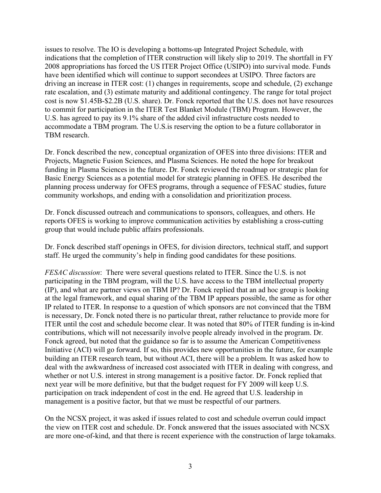issues to resolve. The IO is developing a bottoms-up Integrated Project Schedule, with indications that the completion of ITER construction will likely slip to 2019. The shortfall in FY 2008 appropriations has forced the US ITER Project Office (USIPO) into survival mode. Funds have been identified which will continue to support secondees at USIPO. Three factors are driving an increase in ITER cost: (1) changes in requirements, scope and schedule, (2) exchange rate escalation, and (3) estimate maturity and additional contingency. The range for total project cost is now \$1.45B-\$2.2B (U.S. share). Dr. Fonck reported that the U.S. does not have resources to commit for participation in the ITER Test Blanket Module (TBM) Program. However, the U.S. has agreed to pay its 9.1% share of the added civil infrastructure costs needed to accommodate a TBM program. The U.S.is reserving the option to be a future collaborator in TBM research.

Dr. Fonck described the new, conceptual organization of OFES into three divisions: ITER and Projects, Magnetic Fusion Sciences, and Plasma Sciences. He noted the hope for breakout funding in Plasma Sciences in the future. Dr. Fonck reviewed the roadmap or strategic plan for Basic Energy Sciences as a potential model for strategic planning in OFES. He described the planning process underway for OFES programs, through a sequence of FESAC studies, future community workshops, and ending with a consolidation and prioritization process.

Dr. Fonck discussed outreach and communications to sponsors, colleagues, and others. He reports OFES is working to improve communication activities by establishing a cross-cutting group that would include public affairs professionals.

Dr. Fonck described staff openings in OFES, for division directors, technical staff, and support staff. He urged the community's help in finding good candidates for these positions.

*FESAC discussion*: There were several questions related to ITER. Since the U.S. is not participating in the TBM program, will the U.S. have access to the TBM intellectual property (IP), and what are partner views on TBM IP? Dr. Fonck replied that an ad hoc group is looking at the legal framework, and equal sharing of the TBM IP appears possible, the same as for other IP related to ITER. In response to a question of which sponsors are not convinced that the TBM is necessary, Dr. Fonck noted there is no particular threat, rather reluctance to provide more for ITER until the cost and schedule become clear. It was noted that 80% of ITER funding is in-kind contributions, which will not necessarily involve people already involved in the program. Dr. Fonck agreed, but noted that the guidance so far is to assume the American Competitiveness Initiative (ACI) will go forward. If so, this provides new opportunities in the future, for example building an ITER research team, but without ACI, there will be a problem. It was asked how to deal with the awkwardness of increased cost associated with ITER in dealing with congress, and whether or not U.S. interest in strong management is a positive factor. Dr. Fonck replied that next year will be more definitive, but that the budget request for FY 2009 will keep U.S. participation on track independent of cost in the end. He agreed that U.S. leadership in management is a positive factor, but that we must be respectful of our partners.

On the NCSX project, it was asked if issues related to cost and schedule overrun could impact the view on ITER cost and schedule. Dr. Fonck answered that the issues associated with NCSX are more one-of-kind, and that there is recent experience with the construction of large tokamaks.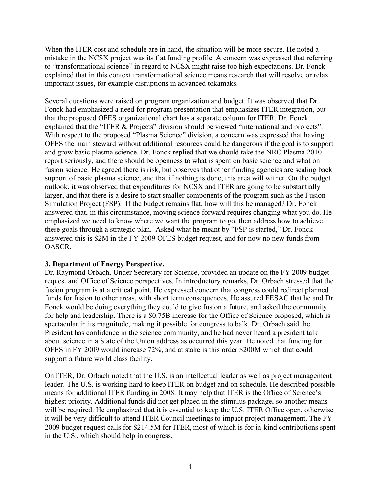When the ITER cost and schedule are in hand, the situation will be more secure. He noted a mistake in the NCSX project was its flat funding profile. A concern was expressed that referring to "transformational science" in regard to NCSX might raise too high expectations. Dr. Fonck explained that in this context transformational science means research that will resolve or relax important issues, for example disruptions in advanced tokamaks.

Several questions were raised on program organization and budget. It was observed that Dr. Fonck had emphasized a need for program presentation that emphasizes ITER integration, but that the proposed OFES organizational chart has a separate column for ITER. Dr. Fonck explained that the "ITER & Projects" division should be viewed "international and projects". With respect to the proposed "Plasma Science" division, a concern was expressed that having OFES the main steward without additional resources could be dangerous if the goal is to support and grow basic plasma science. Dr. Fonck replied that we should take the NRC Plasma 2010 report seriously, and there should be openness to what is spent on basic science and what on fusion science. He agreed there is risk, but observes that other funding agencies are scaling back support of basic plasma science, and that if nothing is done, this area will wither. On the budget outlook, it was observed that expenditures for NCSX and ITER are going to be substantially larger, and that there is a desire to start smaller components of the program such as the Fusion Simulation Project (FSP). If the budget remains flat, how will this be managed? Dr. Fonck answered that, in this circumstance, moving science forward requires changing what you do. He emphasized we need to know where we want the program to go, then address how to achieve these goals through a strategic plan. Asked what he meant by "FSP is started," Dr. Fonck answered this is \$2M in the FY 2009 OFES budget request, and for now no new funds from OASCR.

### **3. Department of Energy Perspective.**

Dr. Raymond Orbach, Under Secretary for Science, provided an update on the FY 2009 budget request and Office of Science perspectives. In introductory remarks, Dr. Orbach stressed that the fusion program is at a critical point. He expressed concern that congress could redirect planned funds for fusion to other areas, with short term consequences. He assured FESAC that he and Dr. Fonck would be doing everything they could to give fusion a future, and asked the community for help and leadership. There is a \$0.75B increase for the Office of Science proposed, which is spectacular in its magnitude, making it possible for congress to balk. Dr. Orbach said the President has confidence in the science community, and he had never heard a president talk about science in a State of the Union address as occurred this year. He noted that funding for OFES in FY 2009 would increase 72%, and at stake is this order \$200M which that could support a future world class facility.

On ITER, Dr. Orbach noted that the U.S. is an intellectual leader as well as project management leader. The U.S. is working hard to keep ITER on budget and on schedule. He described possible means for additional ITER funding in 2008. It may help that ITER is the Office of Science's highest priority. Additional funds did not get placed in the stimulus package, so another means will be required. He emphasized that it is essential to keep the U.S. ITER Office open, otherwise it will be very difficult to attend ITER Council meetings to impact project management. The FY 2009 budget request calls for \$214.5M for ITER, most of which is for in-kind contributions spent in the U.S., which should help in congress.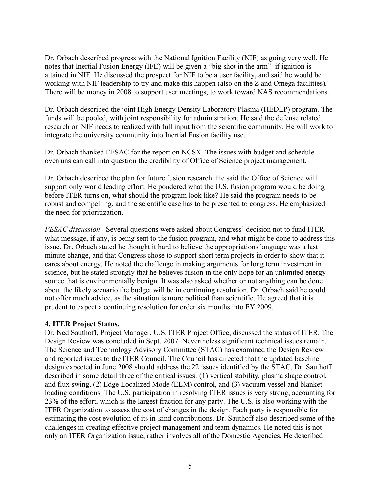Dr. Orbach described progress with the National Ignition Facility (NIF) as going very well. He notes that Inertial Fusion Energy (IFE) will be given a "big shot in the arm" if ignition is attained in NIF. He discussed the prospect for NIF to be a user facility, and said he would be working with NIF leadership to try and make this happen (also on the Z and Omega facilities). There will be money in 2008 to support user meetings, to work toward NAS recommendations.

Dr. Orbach described the joint High Energy Density Laboratory Plasma (HEDLP) program. The funds will be pooled, with joint responsibility for administration. He said the defense related research on NIF needs to realized with full input from the scientific community. He will work to integrate the university community into Inertial Fusion facility use.

Dr. Orbach thanked FESAC for the report on NCSX. The issues with budget and schedule overruns can call into question the credibility of Office of Science project management.

Dr. Orbach described the plan for future fusion research. He said the Office of Science will support only world leading effort. He pondered what the U.S. fusion program would be doing before ITER turns on, what should the program look like? He said the program needs to be robust and compelling, and the scientific case has to be presented to congress. He emphasized the need for prioritization.

*FESAC discussion*: Several questions were asked about Congress' decision not to fund ITER, what message, if any, is being sent to the fusion program, and what might be done to address this issue. Dr. Orbach stated he thought it hard to believe the appropriations language was a last minute change, and that Congress chose to support short term projects in order to show that it cares about energy. He noted the challenge in making arguments for long term investment in science, but he stated strongly that he believes fusion in the only hope for an unlimited energy source that is environmentally benign. It was also asked whether or not anything can be done about the likely scenario the budget will be in continuing resolution. Dr. Orbach said he could not offer much advice, as the situation is more political than scientific. He agreed that it is prudent to expect a continuing resolution for order six months into FY 2009.

### **4. ITER Project Status.**

Dr. Ned Sauthoff, Project Manager, U.S. ITER Project Office, discussed the status of ITER. The Design Review was concluded in Sept. 2007. Nevertheless significant technical issues remain. The Science and Technology Advisory Committee (STAC) has examined the Design Review and reported issues to the ITER Council. The Council has directed that the updated baseline design expected in June 2008 should address the 22 issues identified by the STAC. Dr. Sauthoff described in some detail three of the critical issues: (1) vertical stability, plasma shape control, and flux swing, (2) Edge Localized Mode (ELM) control, and (3) vacuum vessel and blanket loading conditions. The U.S. participation in resolving ITER issues is very strong, accounting for 23% of the effort, which is the largest fraction for any party. The U.S. is also working with the ITER Organization to assess the cost of changes in the design. Each party is responsible for estimating the cost evolution of its in-kind contributions. Dr. Sauthoff also described some of the challenges in creating effective project management and team dynamics. He noted this is not only an ITER Organization issue, rather involves all of the Domestic Agencies. He described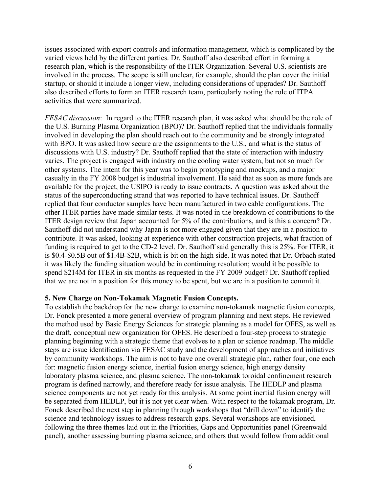issues associated with export controls and information management, which is complicated by the varied views held by the different parties. Dr. Sauthoff also described effort in forming a research plan, which is the responsibility of the ITER Organization. Several U.S. scientists are involved in the process. The scope is still unclear, for example, should the plan cover the initial startup, or should it include a longer view, including considerations of upgrades? Dr. Sauthoff also described efforts to form an ITER research team, particularly noting the role of ITPA activities that were summarized.

*FESAC discussion*: In regard to the ITER research plan, it was asked what should be the role of the U.S. Burning Plasma Organization (BPO)? Dr. Sauthoff replied that the individuals formally involved in developing the plan should reach out to the community and be strongly integrated with BPO. It was asked how secure are the assignments to the U.S., and what is the status of discussions with U.S. industry? Dr. Sauthoff replied that the state of interaction with industry varies. The project is engaged with industry on the cooling water system, but not so much for other systems. The intent for this year was to begin prototyping and mockups, and a major casualty in the FY 2008 budget is industrial involvement. He said that as soon as more funds are available for the project, the USIPO is ready to issue contracts. A question was asked about the status of the superconducting strand that was reported to have technical issues. Dr. Sauthoff replied that four conductor samples have been manufactured in two cable configurations. The other ITER parties have made similar tests. It was noted in the breakdown of contributions to the ITER design review that Japan accounted for 5% of the contributions, and is this a concern? Dr. Sauthoff did not understand why Japan is not more engaged given that they are in a position to contribute. It was asked, looking at experience with other construction projects, what fraction of funding is required to get to the CD-2 level. Dr. Sauthoff said generally this is 25%. For ITER, it is \$0.4-\$0.5B out of \$1.4B-\$2B, which is bit on the high side. It was noted that Dr. Orbach stated it was likely the funding situation would be in continuing resolution; would it be possible to spend \$214M for ITER in six months as requested in the FY 2009 budget? Dr. Sauthoff replied that we are not in a position for this money to be spent, but we are in a position to commit it.

### **5. New Charge on Non-Tokamak Magnetic Fusion Concepts.**

To establish the backdrop for the new charge to examine non-tokamak magnetic fusion concepts, Dr. Fonck presented a more general overview of program planning and next steps. He reviewed the method used by Basic Energy Sciences for strategic planning as a model for OFES, as well as the draft, conceptual new organization for OFES. He described a four-step process to strategic planning beginning with a strategic theme that evolves to a plan or science roadmap. The middle steps are issue identification via FESAC study and the development of approaches and initiatives by community workshops. The aim is not to have one overall strategic plan, rather four, one each for: magnetic fusion energy science, inertial fusion energy science, high energy density laboratory plasma science, and plasma science. The non-tokamak toroidal confinement research program is defined narrowly, and therefore ready for issue analysis. The HEDLP and plasma science components are not yet ready for this analysis. At some point inertial fusion energy will be separated from HEDLP, but it is not yet clear when. With respect to the tokamak program, Dr. Fonck described the next step in planning through workshops that "drill down" to identify the science and technology issues to address research gaps. Several workshops are envisioned, following the three themes laid out in the Priorities, Gaps and Opportunities panel (Greenwald panel), another assessing burning plasma science, and others that would follow from additional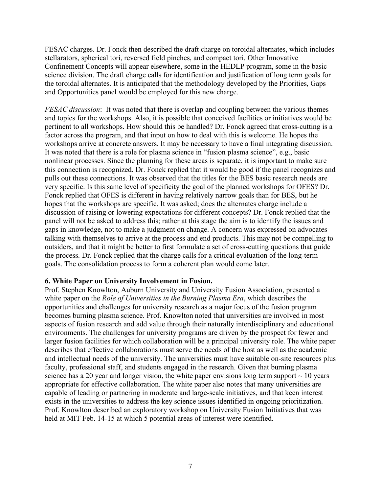FESAC charges. Dr. Fonck then described the draft charge on toroidal alternates, which includes stellarators, spherical tori, reversed field pinches, and compact tori. Other Innovative Confinement Concepts will appear elsewhere, some in the HEDLP program, some in the basic science division. The draft charge calls for identification and justification of long term goals for the toroidal alternates. It is anticipated that the methodology developed by the Priorities, Gaps and Opportunities panel would be employed for this new charge.

*FESAC discussion*: It was noted that there is overlap and coupling between the various themes and topics for the workshops. Also, it is possible that conceived facilities or initiatives would be pertinent to all workshops. How should this be handled? Dr. Fonck agreed that cross-cutting is a factor across the program, and that input on how to deal with this is welcome. He hopes the workshops arrive at concrete answers. It may be necessary to have a final integrating discussion. It was noted that there is a role for plasma science in "fusion plasma science", e.g., basic nonlinear processes. Since the planning for these areas is separate, it is important to make sure this connection is recognized. Dr. Fonck replied that it would be good if the panel recognizes and pulls out these connections. It was observed that the titles for the BES basic research needs are very specific. Is this same level of specificity the goal of the planned workshops for OFES? Dr. Fonck replied that OFES is different in having relatively narrow goals than for BES, but he hopes that the workshops are specific. It was asked; does the alternates charge include a discussion of raising or lowering expectations for different concepts? Dr. Fonck replied that the panel will not be asked to address this; rather at this stage the aim is to identify the issues and gaps in knowledge, not to make a judgment on change. A concern was expressed on advocates talking with themselves to arrive at the process and end products. This may not be compelling to outsiders, and that it might be better to first formulate a set of cross-cutting questions that guide the process. Dr. Fonck replied that the charge calls for a critical evaluation of the long-term goals. The consolidation process to form a coherent plan would come later.

### **6. White Paper on University Involvement in Fusion.**

Prof. Stephen Knowlton, Auburn University and University Fusion Association, presented a white paper on the *Role of Universities in the Burning Plasma Era*, which describes the opportunities and challenges for university research as a major focus of the fusion program becomes burning plasma science. Prof. Knowlton noted that universities are involved in most aspects of fusion research and add value through their naturally interdisciplinary and educational environments. The challenges for university programs are driven by the prospect for fewer and larger fusion facilities for which collaboration will be a principal university role. The white paper describes that effective collaborations must serve the needs of the host as well as the academic and intellectual needs of the university. The universities must have suitable on-site resources plus faculty, professional staff, and students engaged in the research. Given that burning plasma science has a 20 year and longer vision, the white paper envisions long term support  $\sim$  10 years appropriate for effective collaboration. The white paper also notes that many universities are capable of leading or partnering in moderate and large-scale initiatives, and that keen interest exists in the universities to address the key science issues identified in ongoing prioritization. Prof. Knowlton described an exploratory workshop on University Fusion Initiatives that was held at MIT Feb. 14-15 at which 5 potential areas of interest were identified.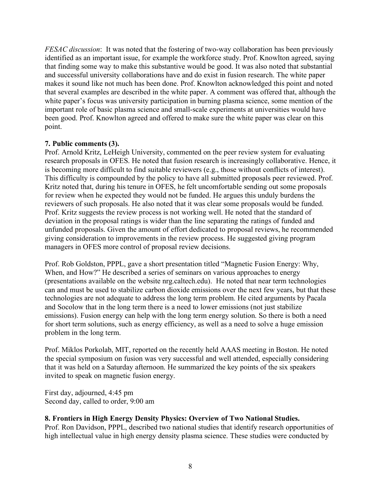*FESAC discussion*: It was noted that the fostering of two-way collaboration has been previously identified as an important issue, for example the workforce study. Prof. Knowlton agreed, saying that finding some way to make this substantive would be good. It was also noted that substantial and successful university collaborations have and do exist in fusion research. The white paper makes it sound like not much has been done. Prof. Knowlton acknowledged this point and noted that several examples are described in the white paper. A comment was offered that, although the white paper's focus was university participation in burning plasma science, some mention of the important role of basic plasma science and small-scale experiments at universities would have been good. Prof. Knowlton agreed and offered to make sure the white paper was clear on this point.

### **7. Public comments (3).**

Prof. Arnold Kritz, LeHeigh University, commented on the peer review system for evaluating research proposals in OFES. He noted that fusion research is increasingly collaborative. Hence, it is becoming more difficult to find suitable reviewers (e.g., those without conflicts of interest). This difficulty is compounded by the policy to have all submitted proposals peer reviewed. Prof. Kritz noted that, during his tenure in OFES, he felt uncomfortable sending out some proposals for review when he expected they would not be funded. He argues this unduly burdens the reviewers of such proposals. He also noted that it was clear some proposals would be funded. Prof. Kritz suggests the review process is not working well. He noted that the standard of deviation in the proposal ratings is wider than the line separating the ratings of funded and unfunded proposals. Given the amount of effort dedicated to proposal reviews, he recommended giving consideration to improvements in the review process. He suggested giving program managers in OFES more control of proposal review decisions.

Prof. Rob Goldston, PPPL, gave a short presentation titled "Magnetic Fusion Energy: Why, When, and How?" He described a series of seminars on various approaches to energy (presentations available on the website nrg.caltech.edu). He noted that near term technologies can and must be used to stabilize carbon dioxide emissions over the next few years, but that these technologies are not adequate to address the long term problem. He cited arguments by Pacala and Socolow that in the long term there is a need to lower emissions (not just stabilize emissions). Fusion energy can help with the long term energy solution. So there is both a need for short term solutions, such as energy efficiency, as well as a need to solve a huge emission problem in the long term.

Prof. Miklos Porkolab, MIT, reported on the recently held AAAS meeting in Boston. He noted the special symposium on fusion was very successful and well attended, especially considering that it was held on a Saturday afternoon. He summarized the key points of the six speakers invited to speak on magnetic fusion energy.

First day, adjourned, 4:45 pm Second day, called to order, 9:00 am

## **8. Frontiers in High Energy Density Physics: Overview of Two National Studies.**

Prof. Ron Davidson, PPPL, described two national studies that identify research opportunities of high intellectual value in high energy density plasma science. These studies were conducted by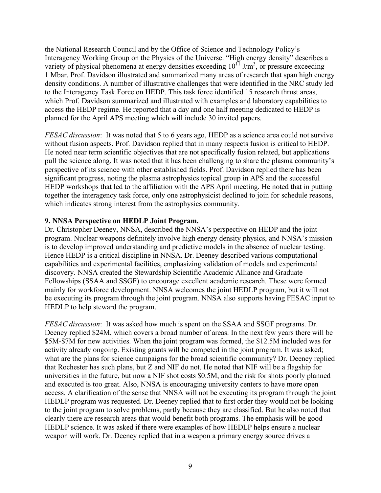the National Research Council and by the Office of Science and Technology Policy's Interagency Working Group on the Physics of the Universe. "High energy density" describes a variety of physical phenomena at energy densities exceeding  $10^{11}$  J/m<sup>3</sup>, or pressure exceeding 1 Mbar. Prof. Davidson illustrated and summarized many areas of research that span high energy density conditions. A number of illustrative challenges that were identified in the NRC study led to the Interagency Task Force on HEDP. This task force identified 15 research thrust areas, which Prof. Davidson summarized and illustrated with examples and laboratory capabilities to access the HEDP regime. He reported that a day and one half meeting dedicated to HEDP is planned for the April APS meeting which will include 30 invited papers.

*FESAC discussion*: It was noted that 5 to 6 years ago, HEDP as a science area could not survive without fusion aspects. Prof. Davidson replied that in many respects fusion is critical to HEDP. He noted near term scientific objectives that are not specifically fusion related, but applications pull the science along. It was noted that it has been challenging to share the plasma community's perspective of its science with other established fields. Prof. Davidson replied there has been significant progress, noting the plasma astrophysics topical group in APS and the successful HEDP workshops that led to the affiliation with the APS April meeting. He noted that in putting together the interagency task force, only one astrophysicist declined to join for schedule reasons, which indicates strong interest from the astrophysics community.

### **9. NNSA Perspective on HEDLP Joint Program.**

Dr. Christopher Deeney, NNSA, described the NNSA's perspective on HEDP and the joint program. Nuclear weapons definitely involve high energy density physics, and NNSA's mission is to develop improved understanding and predictive models in the absence of nuclear testing. Hence HEDP is a critical discipline in NNSA. Dr. Deeney described various computational capabilities and experimental facilities, emphasizing validation of models and experimental discovery. NNSA created the Stewardship Scientific Academic Alliance and Graduate Fellowships (SSAA and SSGF) to encourage excellent academic research. These were formed mainly for workforce development. NNSA welcomes the joint HEDLP program, but it will not be executing its program through the joint program. NNSA also supports having FESAC input to HEDLP to help steward the program.

*FESAC discussion*: It was asked how much is spent on the SSAA and SSGF programs. Dr. Deeney replied \$24M, which covers a broad number of areas. In the next few years there will be \$5M-\$7M for new activities. When the joint program was formed, the \$12.5M included was for activity already ongoing. Existing grants will be competed in the joint program. It was asked; what are the plans for science campaigns for the broad scientific community? Dr. Deeney replied that Rochester has such plans, but Z and NIF do not. He noted that NIF will be a flagship for universities in the future, but now a NIF shot costs \$0.5M, and the risk for shots poorly planned and executed is too great. Also, NNSA is encouraging university centers to have more open access. A clarification of the sense that NNSA will not be executing its program through the joint HEDLP program was requested. Dr. Deeney replied that to first order they would not be looking to the joint program to solve problems, partly because they are classified. But he also noted that clearly there are research areas that would benefit both programs. The emphasis will be good HEDLP science. It was asked if there were examples of how HEDLP helps ensure a nuclear weapon will work. Dr. Deeney replied that in a weapon a primary energy source drives a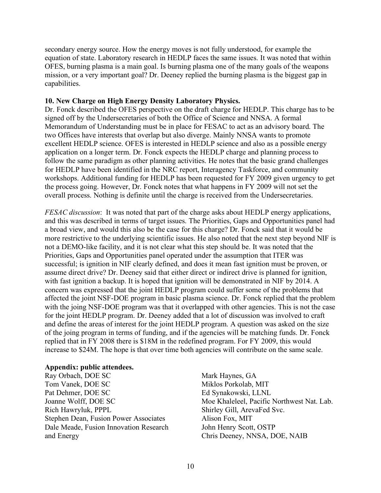secondary energy source. How the energy moves is not fully understood, for example the equation of state. Laboratory research in HEDLP faces the same issues. It was noted that within OFES, burning plasma is a main goal. Is burning plasma one of the many goals of the weapons mission, or a very important goal? Dr. Deeney replied the burning plasma is the biggest gap in capabilities.

#### **10. New Charge on High Energy Density Laboratory Physics.**

Dr. Fonck described the OFES perspective on the draft charge for HEDLP. This charge has to be signed off by the Undersecretaries of both the Office of Science and NNSA. A formal Memorandum of Understanding must be in place for FESAC to act as an advisory board. The two Offices have interests that overlap but also diverge. Mainly NNSA wants to promote excellent HEDLP science. OFES is interested in HEDLP science and also as a possible energy application on a longer term. Dr. Fonck expects the HEDLP charge and planning process to follow the same paradigm as other planning activities. He notes that the basic grand challenges for HEDLP have been identified in the NRC report, Interagency Taskforce, and community workshops. Additional funding for HEDLP has been requested for FY 2009 given urgency to get the process going. However, Dr. Fonck notes that what happens in FY 2009 will not set the overall process. Nothing is definite until the charge is received from the Undersecretaries.

*FESAC discussion*: It was noted that part of the charge asks about HEDLP energy applications, and this was described in terms of target issues. The Priorities, Gaps and Opportunities panel had a broad view, and would this also be the case for this charge? Dr. Fonck said that it would be more restrictive to the underlying scientific issues. He also noted that the next step beyond NIF is not a DEMO-like facility, and it is not clear what this step should be. It was noted that the Priorities, Gaps and Opportunities panel operated under the assumption that ITER was successful; is ignition in NIF clearly defined, and does it mean fast ignition must be proven, or assume direct drive? Dr. Deeney said that either direct or indirect drive is planned for ignition, with fast ignition a backup. It is hoped that ignition will be demonstrated in NIF by 2014. A concern was expressed that the joint HEDLP program could suffer some of the problems that affected the joint NSF-DOE program in basic plasma science. Dr. Fonck replied that the problem with the joing NSF-DOE program was that it overlapped with other agencies. This is not the case for the joint HEDLP program. Dr. Deeney added that a lot of discussion was involved to craft and define the areas of interest for the joint HEDLP program. A question was asked on the size of the joing program in terms of funding, and if the agencies will be matching funds. Dr. Fonck replied that in FY 2008 there is \$18M in the redefined program. For FY 2009, this would increase to \$24M. The hope is that over time both agencies will contribute on the same scale.

#### **Appendix: public attendees.**

Ray Orbach, DOE SC Tom Vanek, DOE SC Pat Dehmer, DOE SC Joanne Wolff, DOE SC Rich Hawryluk, PPPL Stephen Dean, Fusion Power Associates Dale Meade, Fusion Innovation Research and Energy

Mark Haynes, GA Miklos Porkolab, MIT Ed Synakowski, LLNL Moe Khaleleel, Pacific Northwest Nat. Lab. Shirley Gill, ArevaFed Svc. Alison Fox, MIT John Henry Scott, OSTP Chris Deeney, NNSA, DOE, NAIB